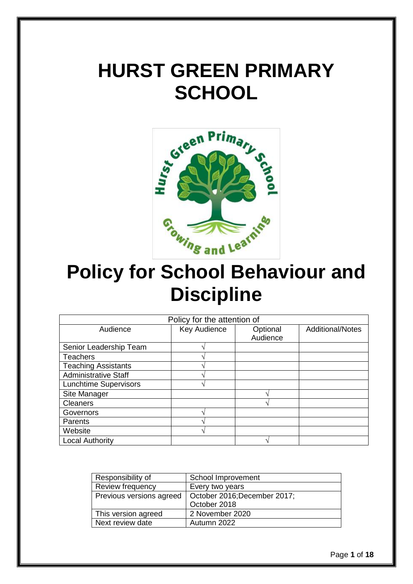# **HURST GREEN PRIMARY SCHOOL**



## **Policy for School Behaviour and Discipline**

| Policy for the attention of  |              |          |                         |
|------------------------------|--------------|----------|-------------------------|
| Audience                     | Key Audience | Optional | <b>Additional/Notes</b> |
|                              |              | Audience |                         |
| Senior Leadership Team       |              |          |                         |
| <b>Teachers</b>              |              |          |                         |
| <b>Teaching Assistants</b>   |              |          |                         |
| <b>Administrative Staff</b>  |              |          |                         |
| <b>Lunchtime Supervisors</b> |              |          |                         |
| Site Manager                 |              |          |                         |
| <b>Cleaners</b>              |              |          |                         |
| Governors                    | ́            |          |                         |
| Parents                      |              |          |                         |
| Website                      |              |          |                         |
| <b>Local Authority</b>       |              |          |                         |

| Responsibility of        | School Improvement           |
|--------------------------|------------------------------|
| Review frequency         | Every two years              |
| Previous versions agreed | October 2016; December 2017; |
|                          | October 2018                 |
| This version agreed      | 2 November 2020              |
| Next review date         | Autumn 2022                  |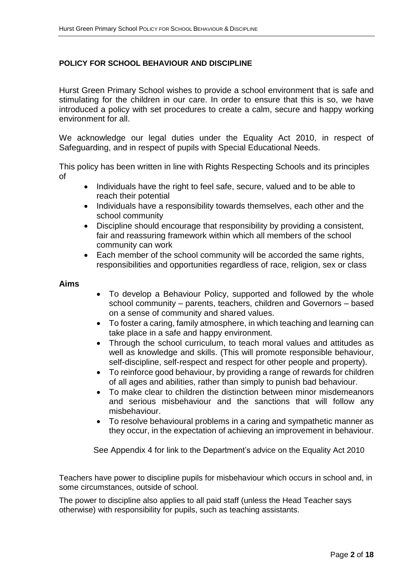#### **POLICY FOR SCHOOL BEHAVIOUR AND DISCIPLINE**

Hurst Green Primary School wishes to provide a school environment that is safe and stimulating for the children in our care. In order to ensure that this is so, we have introduced a policy with set procedures to create a calm, secure and happy working environment for all.

We acknowledge our legal duties under the Equality Act 2010, in respect of Safeguarding, and in respect of pupils with Special Educational Needs.

This policy has been written in line with Rights Respecting Schools and its principles of

- Individuals have the right to feel safe, secure, valued and to be able to reach their potential
- Individuals have a responsibility towards themselves, each other and the school community
- Discipline should encourage that responsibility by providing a consistent, fair and reassuring framework within which all members of the school community can work
- Each member of the school community will be accorded the same rights, responsibilities and opportunities regardless of race, religion, sex or class

#### **Aims**

- To develop a Behaviour Policy, supported and followed by the whole school community – parents, teachers, children and Governors – based on a sense of community and shared values.
- To foster a caring, family atmosphere, in which teaching and learning can take place in a safe and happy environment.
- Through the school curriculum, to teach moral values and attitudes as well as knowledge and skills. (This will promote responsible behaviour, self-discipline, self-respect and respect for other people and property).
- To reinforce good behaviour, by providing a range of rewards for children of all ages and abilities, rather than simply to punish bad behaviour.
- To make clear to children the distinction between minor misdemeanors and serious misbehaviour and the sanctions that will follow any misbehaviour.
- To resolve behavioural problems in a caring and sympathetic manner as they occur, in the expectation of achieving an improvement in behaviour.

See Appendix 4 for link to the Department's advice on the Equality Act 2010

Teachers have power to discipline pupils for misbehaviour which occurs in school and, in some circumstances, outside of school.

The power to discipline also applies to all paid staff (unless the Head Teacher says otherwise) with responsibility for pupils, such as teaching assistants.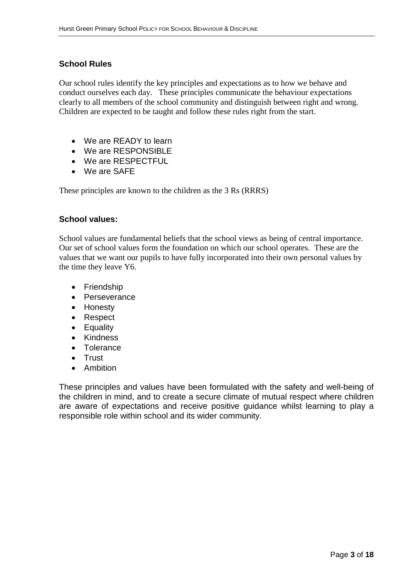#### **School Rules**

Our school rules identify the key principles and expectations as to how we behave and conduct ourselves each day. These principles communicate the behaviour expectations clearly to all members of the school community and distinguish between right and wrong. Children are expected to be taught and follow these rules right from the start.

- We are READY to learn
- We are RESPONSIBLE
- We are RESPECTFUL
- We are SAFE

These principles are known to the children as the 3 Rs (RRRS)

#### **School values:**

School values are fundamental beliefs that the school views as being of central importance. Our set of school values form the foundation on which our school operates. These are the values that we want our pupils to have fully incorporated into their own personal values by the time they leave Y6.

- Friendship
- Perseverance
- Honesty
- Respect
- Equality
- Kindness
- Tolerance
- Trust
- Ambition

These principles and values have been formulated with the safety and well-being of the children in mind, and to create a secure climate of mutual respect where children are aware of expectations and receive positive guidance whilst learning to play a responsible role within school and its wider community.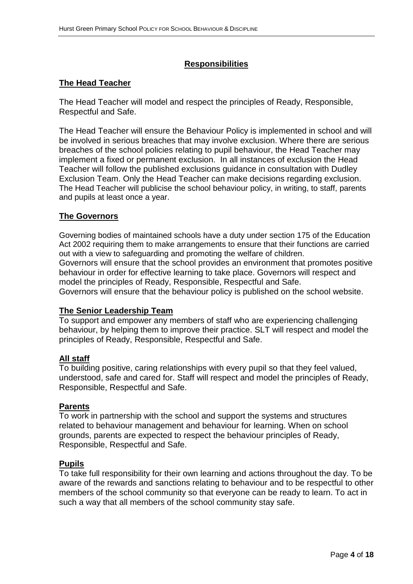#### **Responsibilities**

#### **The Head Teacher**

The Head Teacher will model and respect the principles of Ready, Responsible, Respectful and Safe.

The Head Teacher will ensure the Behaviour Policy is implemented in school and will be involved in serious breaches that may involve exclusion. Where there are serious breaches of the school policies relating to pupil behaviour, the Head Teacher may implement a fixed or permanent exclusion. In all instances of exclusion the Head Teacher will follow the published exclusions guidance in consultation with Dudley Exclusion Team. Only the Head Teacher can make decisions regarding exclusion. The Head Teacher will publicise the school behaviour policy, in writing, to staff, parents and pupils at least once a year.

#### **The Governors**

Governing bodies of maintained schools have a duty under section 175 of the Education Act 2002 requiring them to make arrangements to ensure that their functions are carried out with a view to safeguarding and promoting the welfare of children. Governors will ensure that the school provides an environment that promotes positive behaviour in order for effective learning to take place. Governors will respect and model the principles of Ready, Responsible, Respectful and Safe. Governors will ensure that the behaviour policy is published on the school website.

#### **The Senior Leadership Team**

To support and empower any members of staff who are experiencing challenging behaviour, by helping them to improve their practice. SLT will respect and model the principles of Ready, Responsible, Respectful and Safe.

#### **All staff**

To building positive, caring relationships with every pupil so that they feel valued, understood, safe and cared for. Staff will respect and model the principles of Ready, Responsible, Respectful and Safe.

#### **Parents**

To work in partnership with the school and support the systems and structures related to behaviour management and behaviour for learning. When on school grounds, parents are expected to respect the behaviour principles of Ready, Responsible, Respectful and Safe.

#### **Pupils**

To take full responsibility for their own learning and actions throughout the day. To be aware of the rewards and sanctions relating to behaviour and to be respectful to other members of the school community so that everyone can be ready to learn. To act in such a way that all members of the school community stay safe.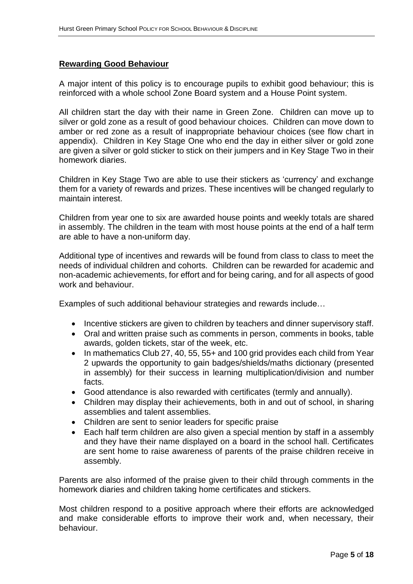#### **Rewarding Good Behaviour**

A major intent of this policy is to encourage pupils to exhibit good behaviour; this is reinforced with a whole school Zone Board system and a House Point system.

All children start the day with their name in Green Zone. Children can move up to silver or gold zone as a result of good behaviour choices. Children can move down to amber or red zone as a result of inappropriate behaviour choices (see flow chart in appendix). Children in Key Stage One who end the day in either silver or gold zone are given a silver or gold sticker to stick on their jumpers and in Key Stage Two in their homework diaries.

Children in Key Stage Two are able to use their stickers as 'currency' and exchange them for a variety of rewards and prizes. These incentives will be changed regularly to maintain interest.

Children from year one to six are awarded house points and weekly totals are shared in assembly. The children in the team with most house points at the end of a half term are able to have a non-uniform day.

Additional type of incentives and rewards will be found from class to class to meet the needs of individual children and cohorts. Children can be rewarded for academic and non-academic achievements, for effort and for being caring, and for all aspects of good work and behaviour.

Examples of such additional behaviour strategies and rewards include…

- Incentive stickers are given to children by teachers and dinner supervisory staff.
- Oral and written praise such as comments in person, comments in books, table awards, golden tickets, star of the week, etc.
- In mathematics Club 27, 40, 55, 55+ and 100 grid provides each child from Year 2 upwards the opportunity to gain badges/shields/maths dictionary (presented in assembly) for their success in learning multiplication/division and number facts.
- Good attendance is also rewarded with certificates (termly and annually).
- Children may display their achievements, both in and out of school, in sharing assemblies and talent assemblies.
- Children are sent to senior leaders for specific praise
- Each half term children are also given a special mention by staff in a assembly and they have their name displayed on a board in the school hall. Certificates are sent home to raise awareness of parents of the praise children receive in assembly.

Parents are also informed of the praise given to their child through comments in the homework diaries and children taking home certificates and stickers.

Most children respond to a positive approach where their efforts are acknowledged and make considerable efforts to improve their work and, when necessary, their behaviour.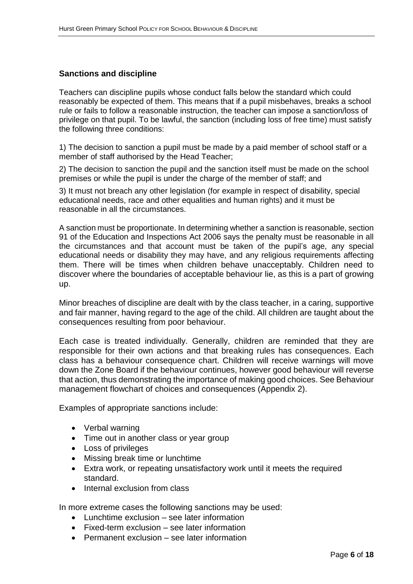#### **Sanctions and discipline**

Teachers can discipline pupils whose conduct falls below the standard which could reasonably be expected of them. This means that if a pupil misbehaves, breaks a school rule or fails to follow a reasonable instruction, the teacher can impose a sanction/loss of privilege on that pupil. To be lawful, the sanction (including loss of free time) must satisfy the following three conditions:

1) The decision to sanction a pupil must be made by a paid member of school staff or a member of staff authorised by the Head Teacher;

2) The decision to sanction the pupil and the sanction itself must be made on the school premises or while the pupil is under the charge of the member of staff; and

3) It must not breach any other legislation (for example in respect of disability, special educational needs, race and other equalities and human rights) and it must be reasonable in all the circumstances.

A sanction must be proportionate. In determining whether a sanction is reasonable, section 91 of the Education and Inspections Act 2006 says the penalty must be reasonable in all the circumstances and that account must be taken of the pupil's age, any special educational needs or disability they may have, and any religious requirements affecting them. There will be times when children behave unacceptably. Children need to discover where the boundaries of acceptable behaviour lie, as this is a part of growing up.

Minor breaches of discipline are dealt with by the class teacher, in a caring, supportive and fair manner, having regard to the age of the child. All children are taught about the consequences resulting from poor behaviour.

Each case is treated individually. Generally, children are reminded that they are responsible for their own actions and that breaking rules has consequences. Each class has a behaviour consequence chart. Children will receive warnings will move down the Zone Board if the behaviour continues, however good behaviour will reverse that action, thus demonstrating the importance of making good choices. See Behaviour management flowchart of choices and consequences (Appendix 2).

Examples of appropriate sanctions include:

- Verbal warning
- Time out in another class or year group
- Loss of privileges
- Missing break time or lunchtime
- Extra work, or repeating unsatisfactory work until it meets the required standard.
- Internal exclusion from class

In more extreme cases the following sanctions may be used:

- Lunchtime exclusion see later information
- Fixed-term exclusion see later information
- Permanent exclusion see later information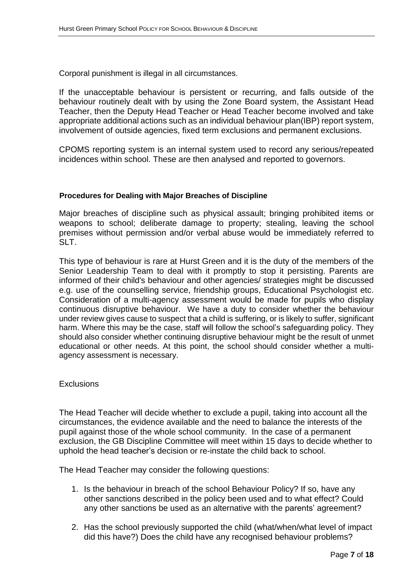Corporal punishment is illegal in all circumstances.

If the unacceptable behaviour is persistent or recurring, and falls outside of the behaviour routinely dealt with by using the Zone Board system, the Assistant Head Teacher, then the Deputy Head Teacher or Head Teacher become involved and take appropriate additional actions such as an individual behaviour plan(IBP) report system, involvement of outside agencies, fixed term exclusions and permanent exclusions.

CPOMS reporting system is an internal system used to record any serious/repeated incidences within school. These are then analysed and reported to governors.

#### **Procedures for Dealing with Major Breaches of Discipline**

Major breaches of discipline such as physical assault; bringing prohibited items or weapons to school; deliberate damage to property; stealing, leaving the school premises without permission and/or verbal abuse would be immediately referred to  $SIT$ 

This type of behaviour is rare at Hurst Green and it is the duty of the members of the Senior Leadership Team to deal with it promptly to stop it persisting. Parents are informed of their child's behaviour and other agencies/ strategies might be discussed e.g. use of the counselling service, friendship groups, Educational Psychologist etc. Consideration of a multi-agency assessment would be made for pupils who display continuous disruptive behaviour. We have a duty to consider whether the behaviour under review gives cause to suspect that a child is suffering, or is likely to suffer, significant harm. Where this may be the case, staff will follow the school's safeguarding policy. They should also consider whether continuing disruptive behaviour might be the result of unmet educational or other needs. At this point, the school should consider whether a multiagency assessment is necessary.

#### **Exclusions**

The Head Teacher will decide whether to exclude a pupil, taking into account all the circumstances, the evidence available and the need to balance the interests of the pupil against those of the whole school community. In the case of a permanent exclusion, the GB Discipline Committee will meet within 15 days to decide whether to uphold the head teacher's decision or re-instate the child back to school.

The Head Teacher may consider the following questions:

- 1. Is the behaviour in breach of the school Behaviour Policy? If so, have any other sanctions described in the policy been used and to what effect? Could any other sanctions be used as an alternative with the parents' agreement?
- 2. Has the school previously supported the child (what/when/what level of impact did this have?) Does the child have any recognised behaviour problems?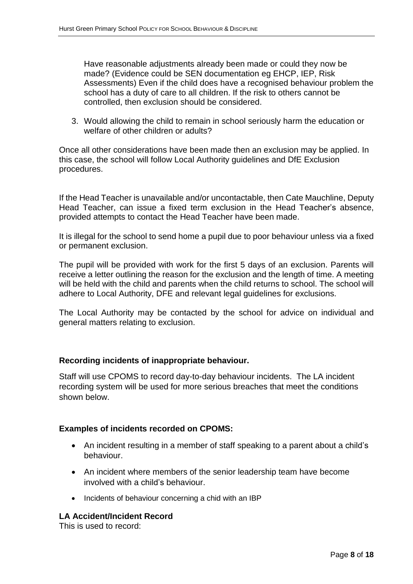Have reasonable adjustments already been made or could they now be made? (Evidence could be SEN documentation eg EHCP, IEP, Risk Assessments) Even if the child does have a recognised behaviour problem the school has a duty of care to all children. If the risk to others cannot be controlled, then exclusion should be considered.

3. Would allowing the child to remain in school seriously harm the education or welfare of other children or adults?

Once all other considerations have been made then an exclusion may be applied. In this case, the school will follow Local Authority guidelines and DfE Exclusion procedures.

If the Head Teacher is unavailable and/or uncontactable, then Cate Mauchline, Deputy Head Teacher, can issue a fixed term exclusion in the Head Teacher's absence, provided attempts to contact the Head Teacher have been made.

It is illegal for the school to send home a pupil due to poor behaviour unless via a fixed or permanent exclusion.

The pupil will be provided with work for the first 5 days of an exclusion. Parents will receive a letter outlining the reason for the exclusion and the length of time. A meeting will be held with the child and parents when the child returns to school. The school will adhere to Local Authority, DFE and relevant legal guidelines for exclusions.

The Local Authority may be contacted by the school for advice on individual and general matters relating to exclusion.

#### **Recording incidents of inappropriate behaviour.**

Staff will use CPOMS to record day-to-day behaviour incidents. The LA incident recording system will be used for more serious breaches that meet the conditions shown below.

#### **Examples of incidents recorded on CPOMS:**

- An incident resulting in a member of staff speaking to a parent about a child's behaviour.
- An incident where members of the senior leadership team have become involved with a child's behaviour.
- Incidents of behaviour concerning a chid with an IBP

#### **LA Accident/Incident Record**

This is used to record: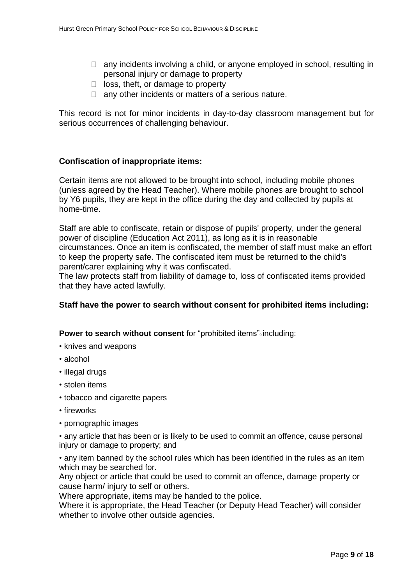- $\Box$  any incidents involving a child, or anyone employed in school, resulting in personal injury or damage to property
- $\Box$  loss, theft, or damage to property
- $\Box$  any other incidents or matters of a serious nature.

This record is not for minor incidents in day-to-day classroom management but for serious occurrences of challenging behaviour.

#### **Confiscation of inappropriate items:**

Certain items are not allowed to be brought into school, including mobile phones (unless agreed by the Head Teacher). Where mobile phones are brought to school by Y6 pupils, they are kept in the office during the day and collected by pupils at home-time.

Staff are able to confiscate, retain or dispose of pupils' property, under the general power of discipline (Education Act 2011), as long as it is in reasonable circumstances. Once an item is confiscated, the member of staff must make an effort to keep the property safe. The confiscated item must be returned to the child's parent/carer explaining why it was confiscated.

The law protects staff from liability of damage to, loss of confiscated items provided that they have acted lawfully.

#### **Staff have the power to search without consent for prohibited items including:**

**Power to search without consent** for "prohibited items" including:

- knives and weapons
- alcohol
- illegal drugs
- stolen items
- tobacco and cigarette papers
- fireworks
- pornographic images

• any article that has been or is likely to be used to commit an offence, cause personal injury or damage to property; and

• any item banned by the school rules which has been identified in the rules as an item which may be searched for.

Any object or article that could be used to commit an offence, damage property or cause harm/ injury to self or others.

Where appropriate, items may be handed to the police.

Where it is appropriate, the Head Teacher (or Deputy Head Teacher) will consider whether to involve other outside agencies.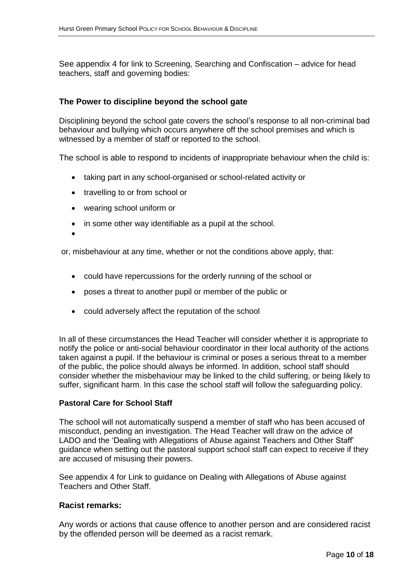See appendix 4 for link to Screening, Searching and Confiscation – advice for head teachers, staff and governing bodies:

#### **The Power to discipline beyond the school gate**

Disciplining beyond the school gate covers the school's response to all non-criminal bad behaviour and bullying which occurs anywhere off the school premises and which is witnessed by a member of staff or reported to the school.

The school is able to respond to incidents of inappropriate behaviour when the child is:

- taking part in any school-organised or school-related activity or
- travelling to or from school or
- wearing school uniform or
- in some other way identifiable as a pupil at the school.

 $\bullet$ 

or, misbehaviour at any time, whether or not the conditions above apply, that:

- could have repercussions for the orderly running of the school or
- poses a threat to another pupil or member of the public or
- could adversely affect the reputation of the school

In all of these circumstances the Head Teacher will consider whether it is appropriate to notify the police or anti-social behaviour coordinator in their local authority of the actions taken against a pupil. If the behaviour is criminal or poses a serious threat to a member of the public, the police should always be informed. In addition, school staff should consider whether the misbehaviour may be linked to the child suffering, or being likely to suffer, significant harm. In this case the school staff will follow the safeguarding policy.

#### **Pastoral Care for School Staff**

The school will not automatically suspend a member of staff who has been accused of misconduct, pending an investigation. The Head Teacher will draw on the advice of LADO and the 'Dealing with Allegations of Abuse against Teachers and Other Staff' guidance when setting out the pastoral support school staff can expect to receive if they are accused of misusing their powers.

See appendix 4 for Link to guidance on Dealing with Allegations of Abuse against Teachers and Other Staff.

#### **Racist remarks:**

Any words or actions that cause offence to another person and are considered racist by the offended person will be deemed as a racist remark.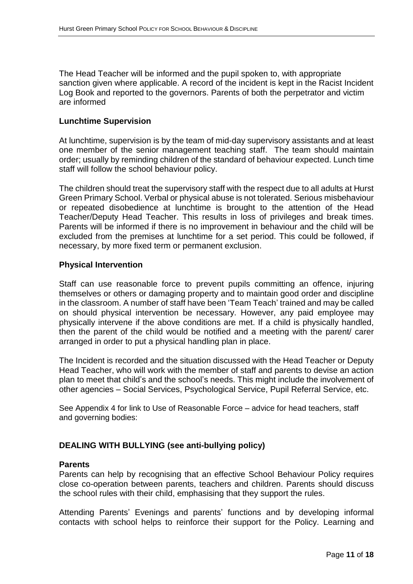The Head Teacher will be informed and the pupil spoken to, with appropriate sanction given where applicable. A record of the incident is kept in the Racist Incident Log Book and reported to the governors. Parents of both the perpetrator and victim are informed

#### **Lunchtime Supervision**

At lunchtime, supervision is by the team of mid-day supervisory assistants and at least one member of the senior management teaching staff. The team should maintain order; usually by reminding children of the standard of behaviour expected. Lunch time staff will follow the school behaviour policy.

The children should treat the supervisory staff with the respect due to all adults at Hurst Green Primary School. Verbal or physical abuse is not tolerated. Serious misbehaviour or repeated disobedience at lunchtime is brought to the attention of the Head Teacher/Deputy Head Teacher. This results in loss of privileges and break times. Parents will be informed if there is no improvement in behaviour and the child will be excluded from the premises at lunchtime for a set period. This could be followed, if necessary, by more fixed term or permanent exclusion.

#### **Physical Intervention**

Staff can use reasonable force to prevent pupils committing an offence, injuring themselves or others or damaging property and to maintain good order and discipline in the classroom. A number of staff have been 'Team Teach' trained and may be called on should physical intervention be necessary. However, any paid employee may physically intervene if the above conditions are met. If a child is physically handled, then the parent of the child would be notified and a meeting with the parent/ carer arranged in order to put a physical handling plan in place.

The Incident is recorded and the situation discussed with the Head Teacher or Deputy Head Teacher, who will work with the member of staff and parents to devise an action plan to meet that child's and the school's needs. This might include the involvement of other agencies – Social Services, Psychological Service, Pupil Referral Service, etc.

See Appendix 4 for link to Use of Reasonable Force – advice for head teachers, staff and governing bodies:

#### **DEALING WITH BULLYING (see anti-bullying policy)**

#### **Parents**

Parents can help by recognising that an effective School Behaviour Policy requires close co-operation between parents, teachers and children. Parents should discuss the school rules with their child, emphasising that they support the rules.

Attending Parents' Evenings and parents' functions and by developing informal contacts with school helps to reinforce their support for the Policy. Learning and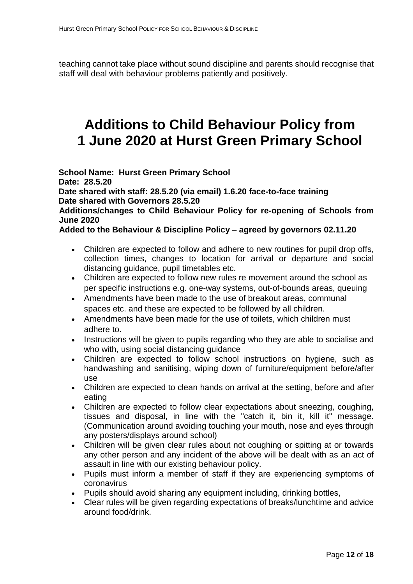teaching cannot take place without sound discipline and parents should recognise that staff will deal with behaviour problems patiently and positively.

### **Additions to Child Behaviour Policy from 1 June 2020 at Hurst Green Primary School**

**School Name: Hurst Green Primary School Date: 28.5.20 Date shared with staff: 28.5.20 (via email) 1.6.20 face-to-face training Date shared with Governors 28.5.20**

**Additions/changes to Child Behaviour Policy for re-opening of Schools from June 2020**

**Added to the Behaviour & Discipline Policy – agreed by governors 02.11.20**

- Children are expected to follow and adhere to new routines for pupil drop offs, collection times, changes to location for arrival or departure and social distancing guidance, pupil timetables etc.
- Children are expected to follow new rules re movement around the school as per specific instructions e.g. one-way systems, out-of-bounds areas, queuing
- Amendments have been made to the use of breakout areas, communal spaces etc. and these are expected to be followed by all children.
- Amendments have been made for the use of toilets, which children must adhere to.
- Instructions will be given to pupils regarding who they are able to socialise and who with, using social distancing guidance
- Children are expected to follow school instructions on hygiene, such as handwashing and sanitising, wiping down of furniture/equipment before/after use
- Children are expected to clean hands on arrival at the setting, before and after eating
- Children are expected to follow clear expectations about sneezing, coughing, tissues and disposal, in line with the "catch it, bin it, kill it" message. (Communication around avoiding touching your mouth, nose and eyes through any posters/displays around school)
- Children will be given clear rules about not coughing or spitting at or towards any other person and any incident of the above will be dealt with as an act of assault in line with our existing behaviour policy.
- Pupils must inform a member of staff if they are experiencing symptoms of coronavirus
- Pupils should avoid sharing any equipment including, drinking bottles,
- Clear rules will be given regarding expectations of breaks/lunchtime and advice around food/drink.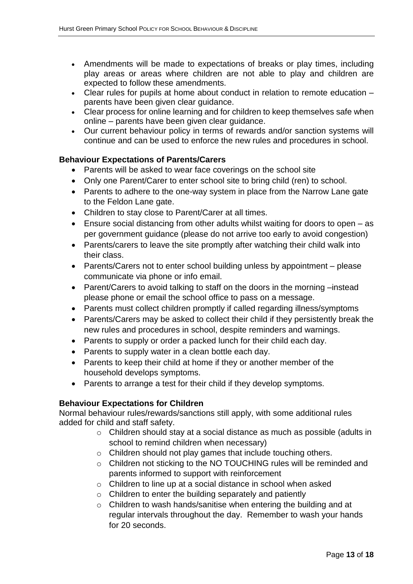- Amendments will be made to expectations of breaks or play times, including play areas or areas where children are not able to play and children are expected to follow these amendments.
- Clear rules for pupils at home about conduct in relation to remote education parents have been given clear guidance.
- Clear process for online learning and for children to keep themselves safe when online – parents have been given clear guidance.
- Our current behaviour policy in terms of rewards and/or sanction systems will continue and can be used to enforce the new rules and procedures in school.

#### **Behaviour Expectations of Parents/Carers**

- Parents will be asked to wear face coverings on the school site
- Only one Parent/Carer to enter school site to bring child (ren) to school.
- Parents to adhere to the one-way system in place from the Narrow Lane gate to the Feldon Lane gate.
- Children to stay close to Parent/Carer at all times.
- Ensure social distancing from other adults whilst waiting for doors to open as per government guidance (please do not arrive too early to avoid congestion)
- Parents/carers to leave the site promptly after watching their child walk into their class.
- Parents/Carers not to enter school building unless by appointment please communicate via phone or info email.
- Parent/Carers to avoid talking to staff on the doors in the morning –instead please phone or email the school office to pass on a message.
- Parents must collect children promptly if called regarding illness/symptoms
- Parents/Carers may be asked to collect their child if they persistently break the new rules and procedures in school, despite reminders and warnings.
- Parents to supply or order a packed lunch for their child each day.
- Parents to supply water in a clean bottle each day.
- Parents to keep their child at home if they or another member of the household develops symptoms.
- Parents to arrange a test for their child if they develop symptoms.

#### **Behaviour Expectations for Children**

Normal behaviour rules/rewards/sanctions still apply, with some additional rules added for child and staff safety.

- o Children should stay at a social distance as much as possible (adults in school to remind children when necessary)
- o Children should not play games that include touching others.
- o Children not sticking to the NO TOUCHING rules will be reminded and parents informed to support with reinforcement
- o Children to line up at a social distance in school when asked
- o Children to enter the building separately and patiently
- o Children to wash hands/sanitise when entering the building and at regular intervals throughout the day. Remember to wash your hands for 20 seconds.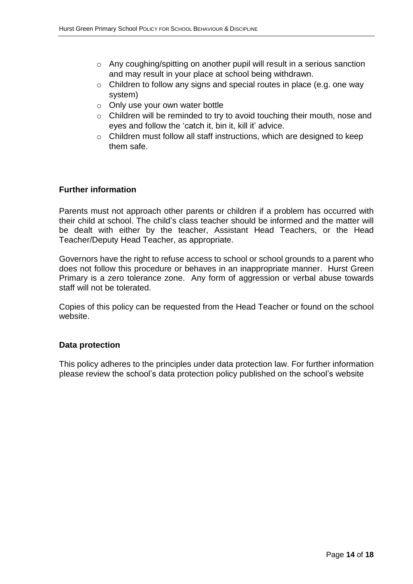- o Any coughing/spitting on another pupil will result in a serious sanction and may result in your place at school being withdrawn.
- o Children to follow any signs and special routes in place (e.g. one way system)
- $\circ$  Only use your own water bottle
- o Children will be reminded to try to avoid touching their mouth, nose and eyes and follow the 'catch it, bin it, kill it' advice.
- o Children must follow all staff instructions, which are designed to keep them safe.

#### **Further information**

Parents must not approach other parents or children if a problem has occurred with their child at school. The child's class teacher should be informed and the matter will be dealt with either by the teacher, Assistant Head Teachers, or the Head Teacher/Deputy Head Teacher, as appropriate.

Governors have the right to refuse access to school or school grounds to a parent who does not follow this procedure or behaves in an inappropriate manner. Hurst Green Primary is a zero tolerance zone. Any form of aggression or verbal abuse towards staff will not be tolerated.

Copies of this policy can be requested from the Head Teacher or found on the school website.

#### **Data protection**

This policy adheres to the principles under data protection law. For further information please review the school's data protection policy published on the school's website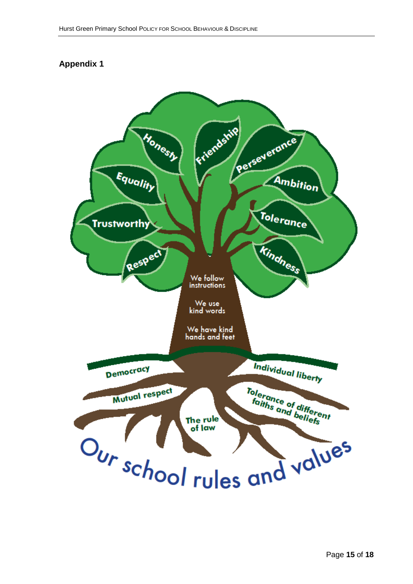#### **Appendix 1**

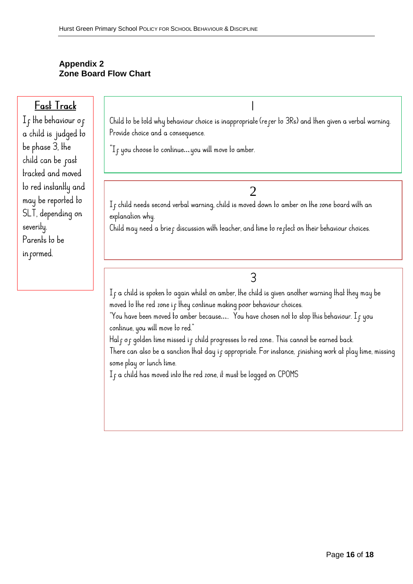#### **Appendix 2 Zone Board Flow Chart**

### Fast Track

If the behaviour of a child is judged to be phase 3, the child can be past tracked and moved to red instantly and may be reported to SLT, depending on severity. Parents to be in cormed.

Child to be told why behaviour choice is inappropriate (refer to 3Rs) and then given a verbal warning. Provide choice and a consequence.

 $\mathrm{I}_{\mathrm{f}}$  you choose to continue....you will move to amber.

 $\frac{2}{1}$ f child needs second verbal warning, child is moved down to amber on the zone board with an explanation why.

Child may need a brief discussion with teacher, and time to reflect on their behaviour choices.

3

 $I_f$  a child is spoken to again whilst on amber, the child is given another warning that they may be moved to the red zone if they continue making poor behaviour choices.

"You have been moved to amber because..... You have chosen not to stop this behaviour. I <sub>f</sub> you continue, you will move to red."

Half of golden time missed if child progresses to red zone.. This cannot be earned back.

There can also be a sanction that day if appropriate. For instance, finishing work at play time, missing some play or lunch time.

 $I_f$  a child has moved into the red zone, it must be logged on CPOMS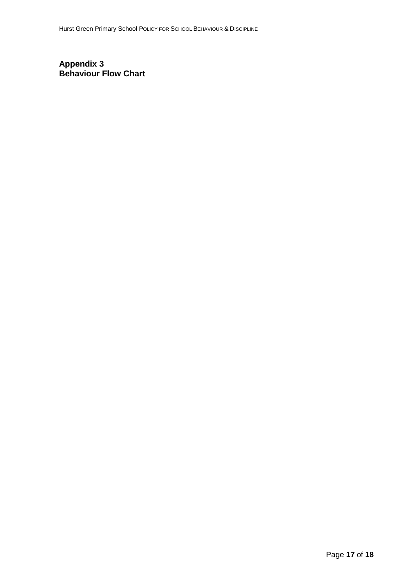#### **Appendix 3 Behaviour Flow Chart**